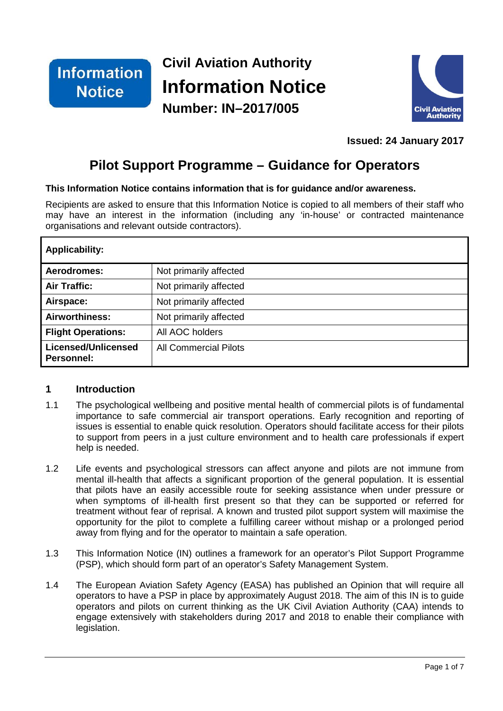

# **Civil Aviation Authority Information Notice Number: IN–2017/005**



**Issued: 24 January 2017**

# **Pilot Support Programme – Guidance for Operators**

#### **This Information Notice contains information that is for guidance and/or awareness.**

Recipients are asked to ensure that this Information Notice is copied to all members of their staff who may have an interest in the information (including any 'in-house' or contracted maintenance organisations and relevant outside contractors).

| <b>Applicability:</b>             |                              |
|-----------------------------------|------------------------------|
| Aerodromes:                       | Not primarily affected       |
| <b>Air Traffic:</b>               | Not primarily affected       |
| Airspace:                         | Not primarily affected       |
| Airworthiness:                    | Not primarily affected       |
| <b>Flight Operations:</b>         | All AOC holders              |
| Licensed/Unlicensed<br>Personnel: | <b>All Commercial Pilots</b> |

## **1 Introduction**

- 1.1 The psychological wellbeing and positive mental health of commercial pilots is of fundamental importance to safe commercial air transport operations. Early recognition and reporting of issues is essential to enable quick resolution. Operators should facilitate access for their pilots to support from peers in a just culture environment and to health care professionals if expert help is needed.
- 1.2 Life events and psychological stressors can affect anyone and pilots are not immune from mental ill-health that affects a significant proportion of the general population. It is essential that pilots have an easily accessible route for seeking assistance when under pressure or when symptoms of ill-health first present so that they can be supported or referred for treatment without fear of reprisal. A known and trusted pilot support system will maximise the opportunity for the pilot to complete a fulfilling career without mishap or a prolonged period away from flying and for the operator to maintain a safe operation.
- 1.3 This Information Notice (IN) outlines a framework for an operator's Pilot Support Programme (PSP), which should form part of an operator's Safety Management System.
- 1.4 The European Aviation Safety Agency (EASA) has published an Opinion that will require all operators to have a PSP in place by approximately August 2018. The aim of this IN is to guide operators and pilots on current thinking as the UK Civil Aviation Authority (CAA) intends to engage extensively with stakeholders during 2017 and 2018 to enable their compliance with legislation.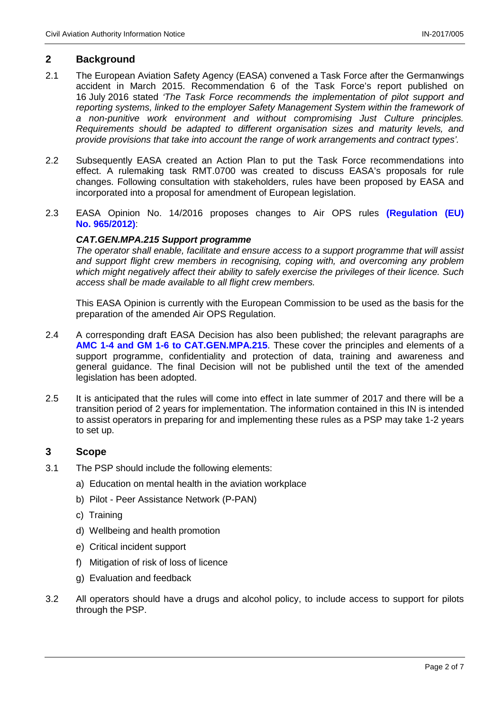#### **2 Background**

- 2.1 The European Aviation Safety Agency (EASA) convened a Task Force after the Germanwings accident in March 2015. Recommendation 6 of the Task Force's report published on 16 July 2016 stated *'The Task Force recommends the implementation of pilot support and reporting systems, linked to the employer Safety Management System within the framework of a non-punitive work environment and without compromising Just Culture principles. Requirements should be adapted to different organisation sizes and maturity levels, and provide provisions that take into account the range of work arrangements and contract types'.*
- 2.2 Subsequently EASA created an Action Plan to put the Task Force recommendations into effect. A rulemaking task RMT.0700 was created to discuss EASA's proposals for rule changes. Following consultation with stakeholders, rules have been proposed by EASA and incorporated into a proposal for amendment of European legislation.
- 2.3 EASA Opinion No. 14/2016 proposes changes to Air OPS rules **[\(Regulation \(EU\)](https://www.easa.europa.eu/system/files/dfu/Annex%20to%20draft%20Commission%20Regulation%20amending%20regulation%20965-2012.pdf)  No. [965/2012\)](https://www.easa.europa.eu/system/files/dfu/Annex%20to%20draft%20Commission%20Regulation%20amending%20regulation%20965-2012.pdf)**:

#### *CAT.GEN.MPA.215 Support programme*

*The operator shall enable, facilitate and ensure access to a support programme that will assist and support flight crew members in recognising, coping with, and overcoming any problem which might negatively affect their ability to safely exercise the privileges of their licence. Such access shall be made available to all flight crew members.*

This EASA Opinion is currently with the European Commission to be used as the basis for the preparation of the amended Air OPS Regulation.

- 2.4 A corresponding draft EASA Decision has also been published; the relevant paragraphs are **[AMC 1-4 and GM 1-6 to CAT.GEN.MPA.215](https://www.easa.europa.eu/system/files/dfu/Draft%20AMC-GM%20to%20part%20ARO%20%28for%20information%20only%29.pdf)**. These cover the principles and elements of a support programme, confidentiality and protection of data, training and awareness and general guidance. The final Decision will not be published until the text of the amended legislation has been adopted.
- 2.5 It is anticipated that the rules will come into effect in late summer of 2017 and there will be a transition period of 2 years for implementation. The information contained in this IN is intended to assist operators in preparing for and implementing these rules as a PSP may take 1-2 years to set up.

#### **3 Scope**

- 3.1 The PSP should include the following elements:
	- a) Education on mental health in the aviation workplace
	- b) Pilot Peer Assistance Network (P-PAN)
	- c) Training
	- d) Wellbeing and health promotion
	- e) Critical incident support
	- f) Mitigation of risk of loss of licence
	- g) Evaluation and feedback
- 3.2 All operators should have a drugs and alcohol policy, to include access to support for pilots through the PSP.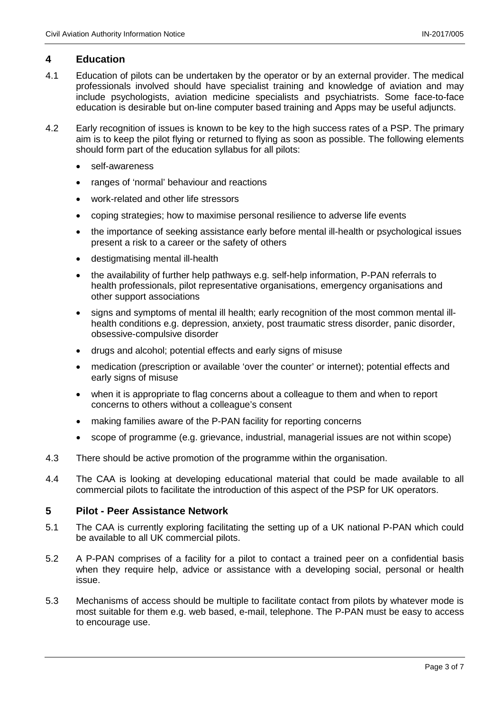#### **4 Education**

- 4.1 Education of pilots can be undertaken by the operator or by an external provider. The medical professionals involved should have specialist training and knowledge of aviation and may include psychologists, aviation medicine specialists and psychiatrists. Some face-to-face education is desirable but on-line computer based training and Apps may be useful adjuncts.
- 4.2 Early recognition of issues is known to be key to the high success rates of a PSP. The primary aim is to keep the pilot flying or returned to flying as soon as possible. The following elements should form part of the education syllabus for all pilots:
	- self-awareness
	- ranges of 'normal' behaviour and reactions
	- work-related and other life stressors
	- coping strategi*e*s; how to maximise personal resilience to adverse life events
	- the importance of seeking assistance early before mental ill-health or psychological issues present a risk to a career or the safety of others
	- destigmatising mental ill-health
	- the availability of further help pathways e.g. self-help information, P-PAN referrals to health professionals, pilot representative organisations, emergency organisations and other support associations
	- signs and symptoms of mental ill health; early recognition of the most common mental illhealth conditions e.g. depression, anxiety, post traumatic stress disorder, panic disorder, obsessive-compulsive disorder
	- drugs and alcohol; potential effects and early signs of misuse
	- medication (prescription or available 'over the counter' or internet); potential effects and early signs of misuse
	- when it is appropriate to flag concerns about a colleague to them and when to report concerns to others without a colleague's consent
	- making families aware of the P-PAN facility for reporting concerns
	- scope of programme (e.g. grievance, industrial, managerial issues are not within scope)
- 4.3 There should be active promotion of the programme within the organisation.
- 4.4 The CAA is looking at developing educational material that could be made available to all commercial pilots to facilitate the introduction of this aspect of the PSP for UK operators.

#### **5 Pilot - Peer Assistance Network**

- 5.1 The CAA is currently exploring facilitating the setting up of a UK national P-PAN which could be available to all UK commercial pilots.
- 5.2 A P-PAN comprises of a facility for a pilot to contact a trained peer on a confidential basis when they require help, advice or assistance with a developing social, personal or health issue.
- 5.3 Mechanisms of access should be multiple to facilitate contact from pilots by whatever mode is most suitable for them e.g. web based, e-mail, telephone. The P-PAN must be easy to access to encourage use.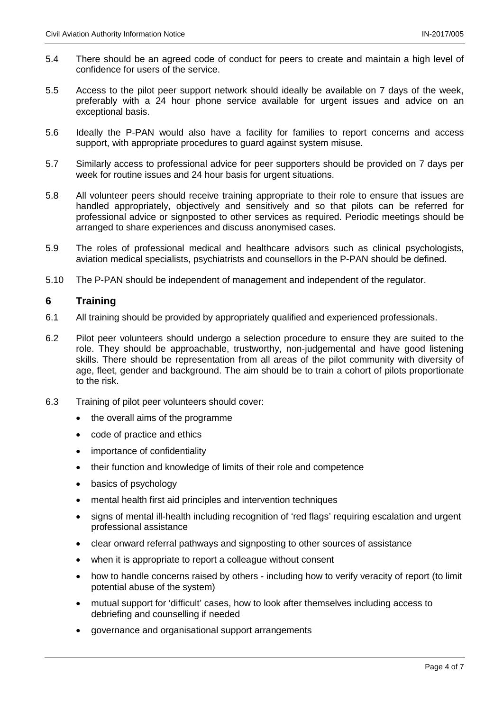- 5.4 There should be an agreed code of conduct for peers to create and maintain a high level of confidence for users of the service.
- 5.5 Access to the pilot peer support network should ideally be available on 7 days of the week, preferably with a 24 hour phone service available for urgent issues and advice on an exceptional basis.
- 5.6 Ideally the P-PAN would also have a facility for families to report concerns and access support, with appropriate procedures to guard against system misuse.
- 5.7 Similarly access to professional advice for peer supporters should be provided on 7 days per week for routine issues and 24 hour basis for urgent situations.
- 5.8 All volunteer peers should receive training appropriate to their role to ensure that issues are handled appropriately, objectively and sensitively and so that pilots can be referred for professional advice or signposted to other services as required. Periodic meetings should be arranged to share experiences and discuss anonymised cases.
- 5.9 The roles of professional medical and healthcare advisors such as clinical psychologists, aviation medical specialists, psychiatrists and counsellors in the P-PAN should be defined.
- 5.10 The P-PAN should be independent of management and independent of the regulator.

#### **6 Training**

- 6.1 All training should be provided by appropriately qualified and experienced professionals.
- 6.2 Pilot peer volunteers should undergo a selection procedure to ensure they are suited to the role. They should be approachable, trustworthy, non-judgemental and have good listening skills. There should be representation from all areas of the pilot community with diversity of age, fleet, gender and background. The aim should be to train a cohort of pilots proportionate to the risk.
- 6.3 Training of pilot peer volunteers should cover:
	- the overall aims of the programme
	- code of practice and ethics
	- importance of confidentiality
	- their function and knowledge of limits of their role and competence
	- basics of psychology
	- mental health first aid principles and intervention techniques
	- signs of mental ill-health including recognition of 'red flags' requiring escalation and urgent professional assistance
	- clear onward referral pathways and signposting to other sources of assistance
	- when it is appropriate to report a colleague without consent
	- how to handle concerns raised by others including how to verify veracity of report (to limit potential abuse of the system)
	- mutual support for 'difficult' cases, how to look after themselves including access to debriefing and counselling if needed
	- governance and organisational support arrangements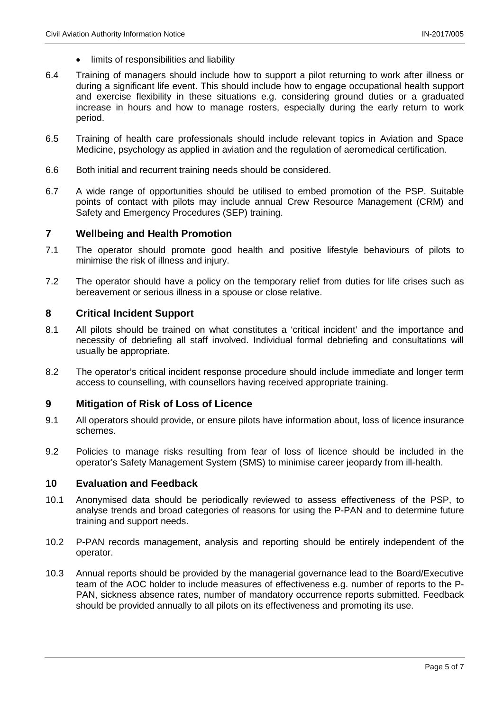- limits of responsibilities and liability
- 6.4 Training of managers should include how to support a pilot returning to work after illness or during a significant life event. This should include how to engage occupational health support and exercise flexibility in these situations e.g. considering ground duties or a graduated increase in hours and how to manage rosters, especially during the early return to work period.
- 6.5 Training of health care professionals should include relevant topics in Aviation and Space Medicine, psychology as applied in aviation and the regulation of aeromedical certification.
- 6.6 Both initial and recurrent training needs should be considered.
- 6.7 A wide range of opportunities should be utilised to embed promotion of the PSP. Suitable points of contact with pilots may include annual Crew Resource Management (CRM) and Safety and Emergency Procedures (SEP) training.

#### **7 Wellbeing and Health Promotion**

- 7.1 The operator should promote good health and positive lifestyle behaviours of pilots to minimise the risk of illness and injury.
- 7.2 The operator should have a policy on the temporary relief from duties for life crises such as bereavement or serious illness in a spouse or close relative.

#### **8 Critical Incident Support**

- 8.1 All pilots should be trained on what constitutes a 'critical incident' and the importance and necessity of debriefing all staff involved. Individual formal debriefing and consultations will usually be appropriate.
- 8.2 The operator's critical incident response procedure should include immediate and longer term access to counselling, with counsellors having received appropriate training.

#### **9 Mitigation of Risk of Loss of Licence**

- 9.1 All operators should provide, or ensure pilots have information about, loss of licence insurance schemes.
- 9.2 Policies to manage risks resulting from fear of loss of licence should be included in the operator's Safety Management System (SMS) to minimise career jeopardy from ill-health.

#### **10 Evaluation and Feedback**

- 10.1 Anonymised data should be periodically reviewed to assess effectiveness of the PSP, to analyse trends and broad categories of reasons for using the P-PAN and to determine future training and support needs.
- 10.2 P-PAN records management, analysis and reporting should be entirely independent of the operator.
- 10.3 Annual reports should be provided by the managerial governance lead to the Board/Executive team of the AOC holder to include measures of effectiveness e.g. number of reports to the P-PAN, sickness absence rates, number of mandatory occurrence reports submitted. Feedback should be provided annually to all pilots on its effectiveness and promoting its use.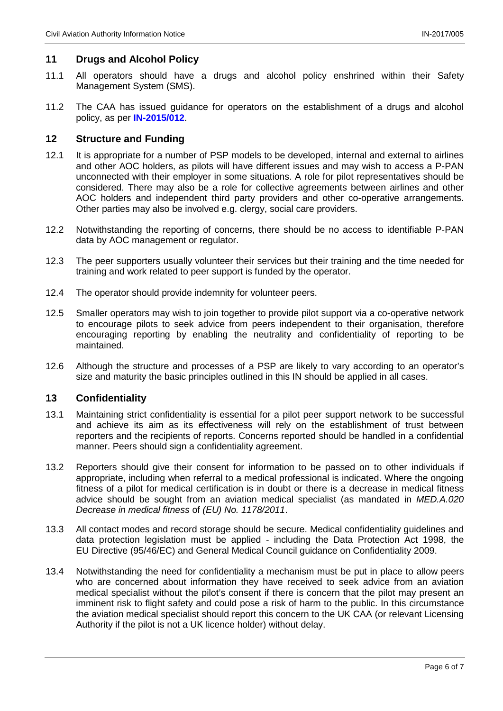### **11 Drugs and Alcohol Policy**

- 11.1 All operators should have a drugs and alcohol policy enshrined within their Safety Management System (SMS).
- 11.2 The CAA has issued guidance for operators on the establishment of a drugs and alcohol policy, as per **[IN-2015/012](http://publicapps.caa.co.uk/modalapplication.aspx?appid=11&mode=detail&id=6637)**.

#### **12 Structure and Funding**

- 12.1 It is appropriate for a number of PSP models to be developed, internal and external to airlines and other AOC holders, as pilots will have different issues and may wish to access a P-PAN unconnected with their employer in some situations. A role for pilot representatives should be considered. There may also be a role for collective agreements between airlines and other AOC holders and independent third party providers and other co-operative arrangements. Other parties may also be involved e.g. clergy, social care providers.
- 12.2 Notwithstanding the reporting of concerns, there should be no access to identifiable P-PAN data by AOC management or regulator.
- 12.3 The peer supporters usually volunteer their services but their training and the time needed for training and work related to peer support is funded by the operator.
- 12.4 The operator should provide indemnity for volunteer peers.
- 12.5 Smaller operators may wish to join together to provide pilot support via a co-operative network to encourage pilots to seek advice from peers independent to their organisation, therefore encouraging reporting by enabling the neutrality and confidentiality of reporting to be maintained.
- 12.6 Although the structure and processes of a PSP are likely to vary according to an operator's size and maturity the basic principles outlined in this IN should be applied in all cases.

#### **13 Confidentiality**

- 13.1 Maintaining strict confidentiality is essential for a pilot peer support network to be successful and achieve its aim as its effectiveness will rely on the establishment of trust between reporters and the recipients of reports. Concerns reported should be handled in a confidential manner. Peers should sign a confidentiality agreement.
- 13.2 Reporters should give their consent for information to be passed on to other individuals if appropriate, including when referral to a medical professional is indicated. Where the ongoing fitness of a pilot for medical certification is in doubt or there is a decrease in medical fitness advice should be sought from an aviation medical specialist (as mandated in *MED.A.020 Decrease in medical fitness* of *(EU) No. 1178/2011*.
- 13.3 All contact modes and record storage should be secure. Medical confidentiality guidelines and data protection legislation must be applied - including the Data Protection Act 1998, the EU Directive (95/46/EC) and General Medical Council guidance on Confidentiality 2009.
- 13.4 Notwithstanding the need for confidentiality a mechanism must be put in place to allow peers who are concerned about information they have received to seek advice from an aviation medical specialist without the pilot's consent if there is concern that the pilot may present an imminent risk to flight safety and could pose a risk of harm to the public. In this circumstance the aviation medical specialist should report this concern to the UK CAA (or relevant Licensing Authority if the pilot is not a UK licence holder) without delay.